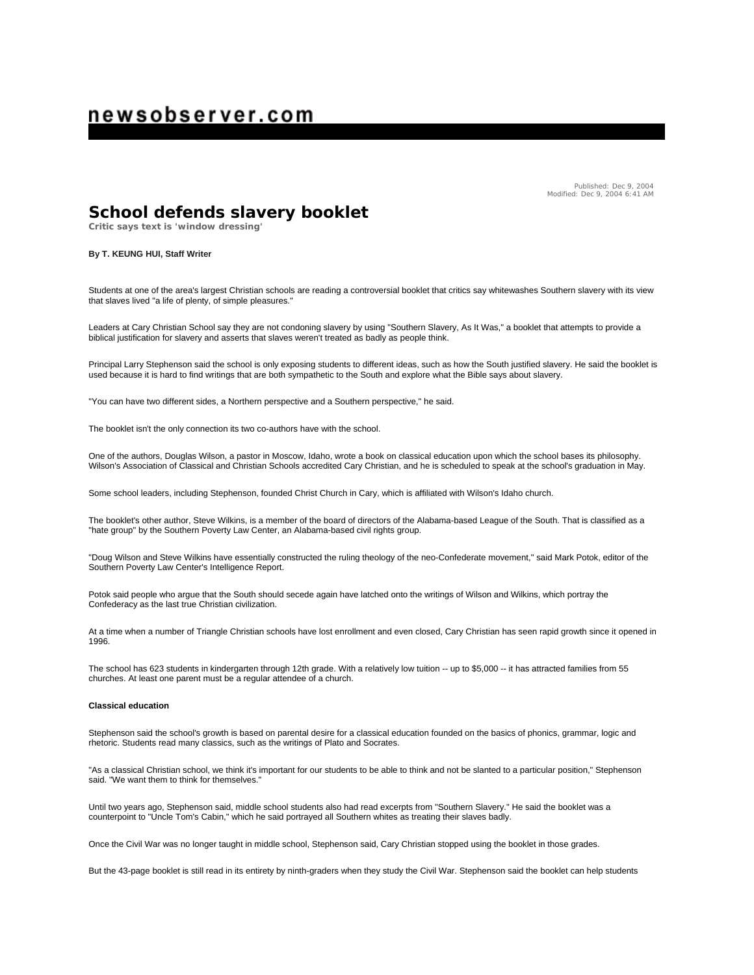# newsobserver.com

Published: Dec 9, 2004 Modified: Dec 9, 2004 6:41 AM

## **School defends slavery booklet**

**Critic says text is 'window dressing'**

### **By T. KEUNG HUI, Staff Writer**

Students at one of the area's largest Christian schools are reading a controversial booklet that critics say whitewashes Southern slavery with its view that slaves lived "a life of plenty, of simple pleasures."

Leaders at Cary Christian School say they are not condoning slavery by using "Southern Slavery, As It Was," a booklet that attempts to provide a biblical justification for slavery and asserts that slaves weren't treated as badly as people think.

Principal Larry Stephenson said the school is only exposing students to different ideas, such as how the South justified slavery. He said the booklet is used because it is hard to find writings that are both sympathetic to the South and explore what the Bible says about slavery.

"You can have two different sides, a Northern perspective and a Southern perspective," he said.

The booklet isn't the only connection its two co-authors have with the school.

One of the authors, Douglas Wilson, a pastor in Moscow, Idaho, wrote a book on classical education upon which the school bases its philosophy. Wilson's Association of Classical and Christian Schools accredited Cary Christian, and he is scheduled to speak at the school's graduation in May.

Some school leaders, including Stephenson, founded Christ Church in Cary, which is affiliated with Wilson's Idaho church.

The booklet's other author, Steve Wilkins, is a member of the board of directors of the Alabama-based League of the South. That is classified as a "hate group" by the Southern Poverty Law Center, an Alabama-based civil rights group.

"Doug Wilson and Steve Wilkins have essentially constructed the ruling theology of the neo-Confederate movement," said Mark Potok, editor of the Southern Poverty Law Center's Intelligence Report.

Potok said people who argue that the South should secede again have latched onto the writings of Wilson and Wilkins, which portray the Confederacy as the last true Christian civilization.

At a time when a number of Triangle Christian schools have lost enrollment and even closed, Cary Christian has seen rapid growth since it opened in 1996.

The school has 623 students in kindergarten through 12th grade. With a relatively low tuition -- up to \$5,000 -- it has attracted families from 55 churches. At least one parent must be a regular attendee of a church.

#### **Classical education**

Stephenson said the school's growth is based on parental desire for a classical education founded on the basics of phonics, grammar, logic and rhetoric. Students read many classics, such as the writings of Plato and Socrates.

"As a classical Christian school, we think it's important for our students to be able to think and not be slanted to a particular position," Stephenson said. "We want them to think for themselves."

Until two years ago, Stephenson said, middle school students also had read excerpts from "Southern Slavery." He said the booklet was a counterpoint to "Uncle Tom's Cabin," which he said portrayed all Southern whites as treating their slaves badly.

Once the Civil War was no longer taught in middle school, Stephenson said, Cary Christian stopped using the booklet in those grades.

But the 43-page booklet is still read in its entirety by ninth-graders when they study the Civil War. Stephenson said the booklet can help students